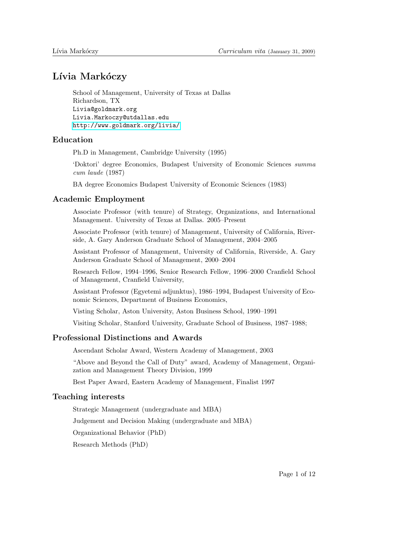# Lívia Markóczy

School of Management, University of Texas at Dallas Richardson, TX Livia@goldmark.org Livia.Markoczy@utdallas.edu <http://www.goldmark.org/livia/>

# Education

Ph.D in Management, Cambridge University (1995)

'Doktori' degree Economics, Budapest University of Economic Sciences summa cum laude (1987)

BA degree Economics Budapest University of Economic Sciences (1983)

# Academic Employment

Associate Professor (with tenure) of Strategy, Organizations, and International Management. University of Texas at Dallas. 2005–Present

Associate Professor (with tenure) of Management, University of California, Riverside, A. Gary Anderson Graduate School of Management, 2004–2005

Assistant Professor of Management, University of California, Riverside, A. Gary Anderson Graduate School of Management, 2000–2004

Research Fellow, 1994–1996, Senior Research Fellow, 1996–2000 Cranfield School of Management, Cranfield University,

Assistant Professor (Egyetemi adjunktus), 1986–1994, Budapest University of Economic Sciences, Department of Business Economics,

Visting Scholar, Aston University, Aston Business School, 1990–1991

Visiting Scholar, Stanford University, Graduate School of Business, 1987–1988;

# Professional Distinctions and Awards

Ascendant Scholar Award, Western Academy of Management, 2003

"Above and Beyond the Call of Duty" award, Academy of Management, Organization and Management Theory Division, 1999

Best Paper Award, Eastern Academy of Management, Finalist 1997

# Teaching interests

Strategic Management (undergraduate and MBA)

Judgement and Decision Making (undergraduate and MBA)

Organizational Behavior (PhD)

Research Methods (PhD)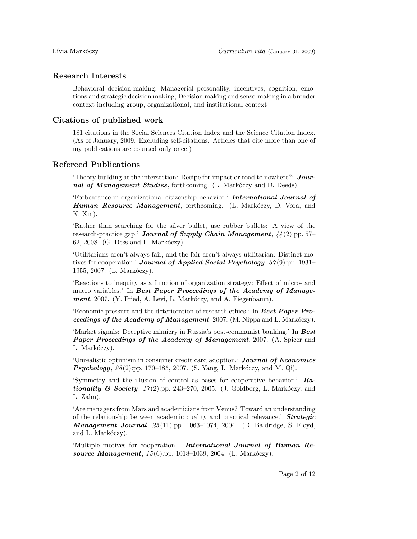#### Research Interests

Behavioral decision-making; Managerial personality, incentives, cognition, emotions and strategic decision making; Decision making and sense-making in a broader context including group, organizational, and institutional context

# Citations of published work

181 citations in the Social Sciences Citation Index and the Science Citation Index. (As of January, 2009. Excluding self-citations. Articles that cite more than one of my publications are counted only once.)

# Refereed Publications

'Theory building at the intersection: Recipe for impact or road to nowhere?'  $Jour$ nal of Management Studies, forthcoming. (L. Markóczy and D. Deeds).

'Forbearance in organizational citizenship behavior.' International Journal of Human Resource Management, forthcoming. (L. Markóczy, D. Vora, and K. Xin).

'Rather than searching for the silver bullet, use rubber bullets: A view of the research-practice gap.' **Journal of Supply Chain Management**,  $44(2)$ :pp. 57–  $62, 2008.$  (G. Dess and L. Markóczy).

'Utilitarians aren't always fair, and the fair aren't always utilitarian: Distinct motives for cooperation.' **Journal of Applied Social Psychology**,  $37(9)$ :pp. 1931– 1955, 2007. (L. Markóczy).

'Reactions to inequity as a function of organization strategy: Effect of micro- and macro variables.' In Best Paper Proceedings of the Academy of Management. 2007. (Y. Fried, A. Levi, L. Markóczy, and A. Fiegenbaum).

'Economic pressure and the deterioration of research ethics.' In Best Paper Proceedings of the Academy of Management. 2007. (M. Nippa and L. Markóczy).

'Market signals: Deceptive mimicry in Russia's post-communist banking.' In Best Paper Proceedings of the Academy of Management. 2007. (A. Spicer and L. Markóczy).

'Unrealistic optimism in consumer credit card adoption.' Journal of Economics **Psychology**,  $28(2)$ :pp. 170–185, 2007. (S. Yang, L. Markóczy, and M. Qi).

'Symmetry and the illusion of control as bases for cooperative behavior.' Rationality & Society,  $17(2)$ :pp. 243-270, 2005. (J. Goldberg, L. Markóczy, and L. Zahn).

'Are managers from Mars and academicians from Venus? Toward an understanding of the relationship between academic quality and practical relevance.' Strategic **Management Journal**,  $25(11)$ :pp. 1063-1074, 2004. (D. Baldridge, S. Floyd, and L. Markóczy).

'Multiple motives for cooperation.' International Journal of Human Resource Management,  $15(6)$ :pp. 1018–1039, 2004. (L. Markóczy).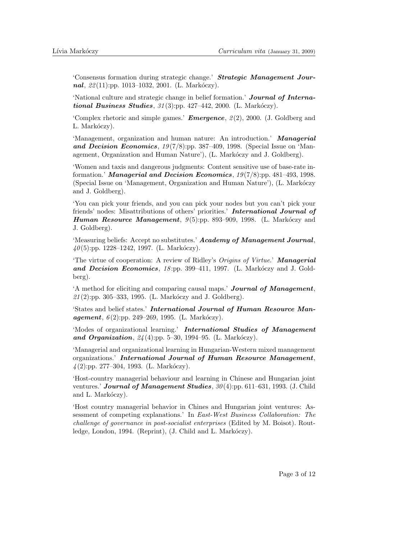'Consensus formation during strategic change.' Strategic Management Journal,  $22(11)$ :pp. 1013–1032, 2001. (L. Markóczy).

'National culture and strategic change in belief formation.' Journal of International Business Studies,  $31(3)$ :pp. 427-442, 2000. (L. Markóczy).

'Complex rhetoric and simple games.' **Emergence**,  $\mathcal{Q}(2)$ , 2000. (J. Goldberg and L. Markóczy).

'Management, organization and human nature: An introduction.' **Managerial** and Decision Economics,  $19(7/8)$ :pp. 387–409, 1998. (Special Issue on 'Management, Organization and Human Nature'), (L. Markóczy and J. Goldberg).

'Women and taxis and dangerous judgments: Content sensitive use of base-rate information.' Managerial and Decision Economics,  $19(7/8)$ :pp. 481–493, 1998. (Special Issue on 'Management, Organization and Human Nature'), (L. Markóczy and J. Goldberg).

'You can pick your friends, and you can pick your nodes but you can't pick your friends' nodes: Misattributions of others' priorities.' International Journal of **Human Resource Management**,  $9(5)$ :pp. 893–909, 1998. (L. Markóczy and J. Goldberg).

'Measuring beliefs: Accept no substitutes.' Academy of Management Journal,  $40(5)$ :pp. 1228–1242, 1997. (L. Markóczy).

'The virtue of cooperation: A review of Ridley's Origins of Virtue.' Managerial and Decision Economics,  $18$ :pp. 399-411, 1997. (L. Markóczy and J. Goldberg).

'A method for eliciting and comparing causal maps.' Journal of Management,  $21(2)$ :pp. 305–333, 1995. (L. Markóczy and J. Goldberg).

'States and belief states.' International Journal of Human Resource Management,  $6(2)$ :pp. 249–269, 1995. (L. Markóczy).

'Modes of organizational learning.' International Studies of Management and Organization,  $24(4)$ :pp. 5–30, 1994–95. (L. Markóczy).

'Managerial and organizational learning in Hungarian-Western mixed management organizations.' International Journal of Human Resource Management,  $\frac{1}{4}(2)$ :pp. 277–304, 1993. (L. Markóczy).

'Host-country managerial behaviour and learning in Chinese and Hungarian joint ventures.' **Journal of Management Studies**,  $30(4)$ :pp. 611–631, 1993. (J. Child and L. Markóczy).

'Host country managerial behavior in Chines and Hungarian joint ventures: Assessment of competing explanations.' In East-West Business Collaboration: The challenge of governance in post-socialist enterprises (Edited by M. Boisot). Routledge, London, 1994. (Reprint), (J. Child and L. Markóczy).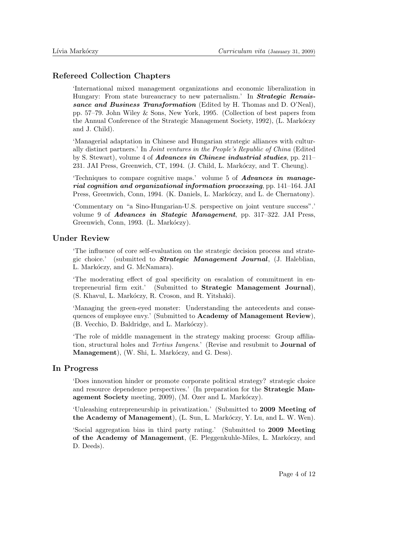#### Refereed Collection Chapters

'International mixed management organizations and economic liberalization in Hungary: From state bureaucracy to new paternalism.' In **Strategic Renais**sance and Business Transformation (Edited by H. Thomas and D. O'Neal), pp. 57–79. John Wiley & Sons, New York, 1995. (Collection of best papers from the Annual Conference of the Strategic Management Society, 1992), (L. Markóczy and J. Child).

'Managerial adaptation in Chinese and Hungarian strategic alliances with culturally distinct partners.' In Joint ventures in the People's Republic of China (Edited by S. Stewart), volume 4 of Advances in Chinese industrial studies, pp. 211– 231. JAI Press, Greenwich, CT, 1994. (J. Child, L. Markóczy, and T. Cheung).

'Techniques to compare cognitive maps.' volume 5 of Advances in managerial cognition and organizational information processing, pp. 141–164. JAI Press, Greenwich, Conn, 1994. (K. Daniels, L. Markóczy, and L. de Chernatony).

'Commentary on "a Sino-Hungarian-U.S. perspective on joint venture success".' volume 9 of Advances in Stategic Management, pp. 317–322. JAI Press, Greenwich, Conn, 1993. (L. Markóczy).

### Under Review

'The influence of core self-evaluation on the strategic decision process and strategic choice.' (submitted to Strategic Management Journal, (J. Haleblian, L. Markóczy, and G. McNamara).

'The moderating effect of goal specificity on escalation of commitment in entrepreneurial firm exit.' (Submitted to Strategic Management Journal), (S. Khavul, L. Markóczy, R. Croson, and R. Yitshaki).

'Managing the green-eyed monster: Understanding the antecedents and consequences of employee envy.' (Submitted to Academy of Management Review), (B. Vecchio, D. Baldridge, and L. Markóczy).

'The role of middle management in the strategy making process: Group affiliation, structural holes and Tertius Iungens.' (Revise and resubmit to Journal of Management), (W. Shi, L. Markóczy, and G. Dess).

### In Progress

'Does innovation hinder or promote corporate political strategy? strategic choice and resource dependence perspectives.' (In preparation for the Strategic Management Society meeting, 2009), (M. Ozer and L. Markóczy).

'Unleashing entrepreneurship in privatization.' (Submitted to 2009 Meeting of the Academy of Management), (L. Sun, L. Markóczy, Y. Lu, and L. W. Wen).

'Social aggregation bias in third party rating.' (Submitted to 2009 Meeting of the Academy of Management, (E. Pleggenkuhle-Miles, L. Markóczy, and D. Deeds).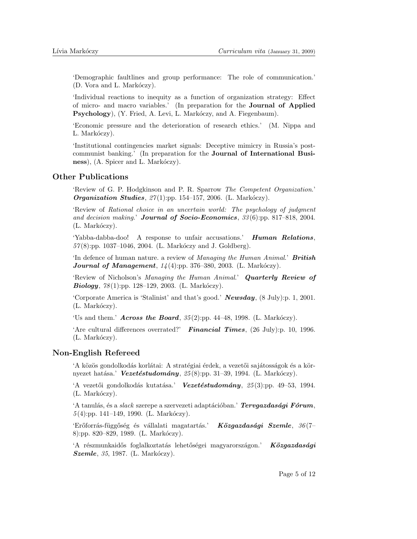'Demographic faultlines and group performance: The role of communication.' (D. Vora and L. Markóczy).

'Individual reactions to inequity as a function of organization strategy: Effect of micro- and macro variables.' (In preparation for the Journal of Applied Psychology), (Y. Fried, A. Levi, L. Markóczy, and A. Fiegenbaum).

'Economic pressure and the deterioration of research ethics.' (M. Nippa and L. Markóczy).

'Institutional contingencies market signals: Deceptive mimicry in Russia's postcommunist banking.' (In preparation for the Journal of International Business), (A. Spicer and L. Markóczy).

# Other Publications

'Review of G. P. Hodgkinson and P. R. Sparrow The Competent Organization.' *Organization Studies, 27*(1):pp. 154-157, 2006. (L. Markóczy).

'Review of Rational choice in an uncertain world: The psychology of judgment and decision making.' Journal of Socio-Economics,  $33(6)$ :pp. 817-818, 2004.  $(L. Markóczy).$ 

'Yabba-dabba-doo! A response to unfair accusations.' Human Relations,  $57(8)$ :pp. 1037–1046, 2004. (L. Markóczy and J. Goldberg).

'In defence of human nature. a review of Managing the Human Animal.' British **Journal of Management**,  $1/4(4)$ :pp. 376-380, 2003. (L. Markóczy).

'Review of Nicholson's Managing the Human Animal.' Quarterly Review of  $\mathbf{Biology}, 78(1):pp. 128-129, 2003.$  (L. Markóczy).

'Corporate America is 'Stalinist' and that's good.' Newsday, (8 July):p. 1, 2001.  $(L. Markóczv).$ 

'Us and them.' **Across the Board**,  $35(2)$ :pp. 44–48, 1998. (L. Markóczy).

'Are cultural differences overrated?' Financial Times,  $(26 \text{ July})$ : p. 10, 1996.  $(L. Markóczy).$ 

### Non-English Refereed

'A közös gondolkodás korlátai: A stratégiai érdek, a vezetői sajátosságok és a környezet hatása.' Vezetéstudomány,  $25(8)$ :pp. 31–39, 1994. (L. Markóczy).

'A vezetői gondolkodás kutatása.' Vezetéstudomány,  $25(3)$ :pp. 49–53, 1994.  $(L. Markóczv).$ 

'A tanulás, és a *slack* szerepe a szervezeti adaptációban.'  $Tervgazdasági Fórum$ ,  $5(4)$ :pp. 141–149, 1990. (L. Markóczy).

'Erőforrás-függőség és vállalati magatartás.' Közgazdasági Szemle,  $36(7-$ 8):pp. 820–829, 1989. (L. Markóczy).

'A részmunkaidős foglalkoztatás lehetőségei magyarországon.' Közgazdasági  $Szemle$ , 35, 1987. (L. Markóczy).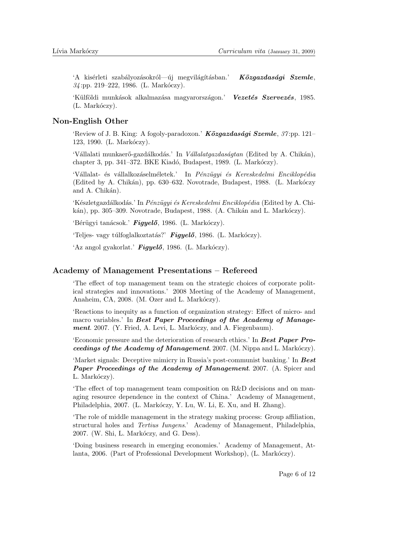'A kisérleti szabályozásokról—új megvilágításban.' Közgazdasági Szemle,  $34$ :pp. 219–222, 1986. (L. Markóczy).

'Külföldi munkások alkalmazása magyarországon.' Vezetés Szervezés, 1985.  $(L. Markóczv).$ 

# Non-English Other

'Review of J. B. King: A fogoly-paradoxon.'  $K\ddot{o}zgazdas'aji Szemle, 37:pp. 121-$ 123, 1990. (L. Markóczy).

'Vállalati munkaerő-gazdálkodás.' In Vállalatgazdaságtan (Edited by A. Chikán), chapter 3, pp. 341–372. BKE Kiadó, Budapest, 1989. (L. Markóczy).

'Vállalat- és vállalkozáselméletek.' In Pénzügyi és Kereskedelmi Enciklopédia (Edited by A. Chikán), pp. 630–632. Novotrade, Budapest, 1988. (L. Markóczy and A. Chikán).

'Készletgazdálkodás.' In Pénzügyi és Kereskedelmi Enciklopédia (Edited by A. Chikán), pp. 305–309. Novotrade, Budapest, 1988. (A. Chikán and L. Markóczy).

'Bérügyi tanácsok.' Figyelő, 1986. (L. Markóczy).

'Teljes- vagy túlfoglalkoztatás?' Figyelő, 1986. (L. Markóczy).

'Az angol gyakorlat.'  $Figure 16, 1986$ . (L. Markóczy).

#### Academy of Management Presentations – Refereed

'The effect of top management team on the strategic choices of corporate political strategies and innovations.' 2008 Meeting of the Academy of Management, Anaheim, CA, 2008. (M. Ozer and L. Markóczy).

'Reactions to inequity as a function of organization strategy: Effect of micro- and macro variables.' In Best Paper Proceedings of the Academy of Management. 2007. (Y. Fried, A. Levi, L. Markóczy, and A. Fiegenbaum).

'Economic pressure and the deterioration of research ethics.' In Best Paper Proceedings of the Academy of Management. 2007. (M. Nippa and L. Markóczy).

'Market signals: Deceptive mimicry in Russia's post-communist banking.' In Best Paper Proceedings of the Academy of Management. 2007. (A. Spicer and L. Markóczy).

'The effect of top management team composition on R&D decisions and on managing resource dependence in the context of China.' Academy of Management, Philadelphia, 2007. (L. Markóczy, Y. Lu, W. Li, E. Xu, and H. Zhang).

'The role of middle management in the strategy making process: Group affiliation, structural holes and Tertius Iungens.' Academy of Management, Philadelphia, 2007. (W. Shi, L. Markóczy, and G. Dess).

'Doing business research in emerging economies.' Academy of Management, Atlanta, 2006. (Part of Professional Development Workshop), (L. Markóczy).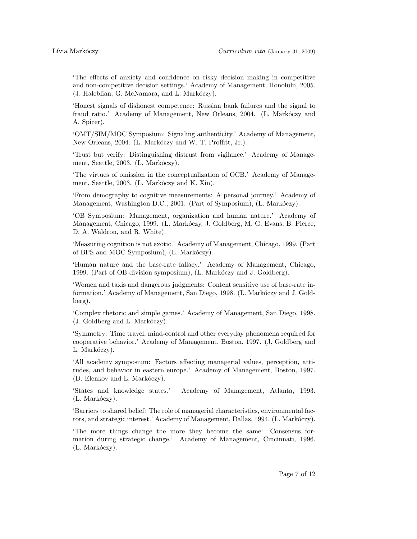'The effects of anxiety and confidence on risky decision making in competitive and non-competitive decision settings.' Academy of Management, Honolulu, 2005. (J. Haleblian, G. McNamara, and L. Markóczy).

'Honest signals of dishonest competence: Russian bank failures and the signal to fraud ratio.' Academy of Management, New Orleans, 2004. (L. Markóczy and A. Spicer).

'OMT/SIM/MOC Symposium: Signaling authenticity.' Academy of Management, New Orleans, 2004. (L. Markóczy and W. T. Proffitt, Jr.).

'Trust but verify: Distinguishing distrust from vigilance.' Academy of Management, Seattle, 2003. (L. Markóczy).

'The virtues of omission in the conceptualization of OCB.' Academy of Management, Seattle, 2003. (L. Markóczy and K. Xin).

'From demography to cognitive measurements: A personal journey.' Academy of Management, Washington D.C., 2001. (Part of Symposium), (L. Markóczy).

'OB Symposium: Management, organization and human nature.' Academy of Management, Chicago, 1999. (L. Markóczy, J. Goldberg, M. G. Evans, B. Pierce, D. A. Waldron, and R. White).

'Measuring cognition is not exotic.' Academy of Management, Chicago, 1999. (Part of BPS and MOC Symposium), (L. Markóczy).

'Human nature and the base-rate fallacy.' Academy of Management, Chicago, 1999. (Part of OB division symposium), (L. Markóczy and J. Goldberg).

'Women and taxis and dangerous judgments: Content sensitive use of base-rate information.' Academy of Management, San Diego, 1998. (L. Markóczy and J. Goldberg).

'Complex rhetoric and simple games.' Academy of Management, San Diego, 1998.  $(J. \text{ Goldberg and } L. \text{ Markóczy}).$ 

'Symmetry: Time travel, mind-control and other everyday phenomena required for cooperative behavior.' Academy of Management, Boston, 1997. (J. Goldberg and L. Markóczy).

'All academy symposium: Factors affecting managerial values, perception, attitudes, and behavior in eastern europe.' Academy of Management, Boston, 1997. (D. Elenkov and L. Markóczy).

'States and knowledge states.' Academy of Management, Atlanta, 1993.  $(L. Markóczv).$ 

'Barriers to shared belief: The role of managerial characteristics, environmental factors, and strategic interest.' Academy of Management, Dallas, 1994. (L. Markóczy).

'The more things change the more they become the same: Consensus formation during strategic change.' Academy of Management, Cincinnati, 1996.  $(L. Markóczy).$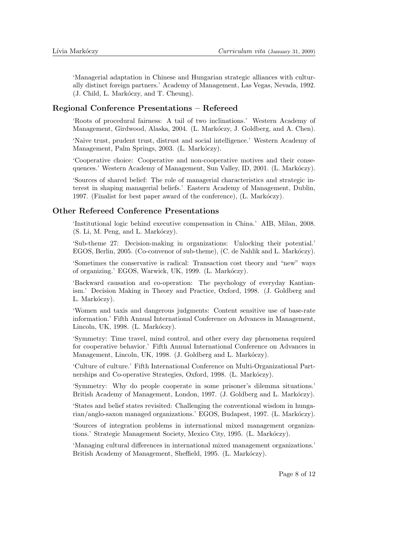'Managerial adaptation in Chinese and Hungarian strategic alliances with culturally distinct foreign partners.' Academy of Management, Las Vegas, Nevada, 1992. (J. Child, L. Markóczy, and T. Cheung).

# Regional Conference Presentations – Refereed

'Roots of procedural fairness: A tail of two inclinations.' Western Academy of Management, Girdwood, Alaska, 2004. (L. Markóczy, J. Goldberg, and A. Chen).

'Naive trust, prudent trust, distrust and social intelligence.' Western Academy of Management, Palm Springs, 2003. (L. Markóczy).

'Cooperative choice: Cooperative and non-cooperative motives and their consequences.' Western Academy of Management, Sun Valley, ID, 2001. (L. Markóczy).

'Sources of shared belief: The role of managerial characteristics and strategic interest in shaping managerial beliefs.' Eastern Academy of Management, Dublin, 1997. (Finalist for best paper award of the conference), (L. Markóczy).

### Other Refereed Conference Presentations

'Institutional logic behind executive compensation in China.' AIB, Milan, 2008. (S. Li, M. Peng, and L. Markóczy).

'Sub-theme 27: Decision-making in organizations: Unlocking their potential.' EGOS, Berlin, 2005. (Co-convenor of sub-theme), (C. de Nahlik and L. Markóczy).

'Sometimes the conservative is radical: Transaction cost theory and "new" ways of organizing.' EGOS, Warwick, UK, 1999. (L. Markóczy).

'Backward causation and co-operation: The psychology of everyday Kantianism.' Decision Making in Theory and Practice, Oxford, 1998. (J. Goldberg and L. Markóczy).

'Women and taxis and dangerous judgments: Content sensitive use of base-rate information.' Fifth Annual International Conference on Advances in Management, Lincoln, UK, 1998. (L. Markóczy).

'Symmetry: Time travel, mind control, and other every day phenomena required for cooperative behavior.' Fifth Annual International Conference on Advances in Management, Lincoln, UK, 1998. (J. Goldberg and L. Markóczy).

'Culture of culture.' Fifth International Conference on Multi-Organizational Partnerships and Co-operative Strategies, Oxford, 1998. (L. Markóczy).

'Symmetry: Why do people cooperate in some prisoner's dilemma situations.' British Academy of Management, London, 1997. (J. Goldberg and L. Markóczy).

'States and belief states revisited: Challenging the conventional wisdom in hungarian/anglo-saxon managed organizations.' EGOS, Budapest, 1997. (L. Markóczy).

'Sources of integration problems in international mixed management organizations.' Strategic Management Society, Mexico City, 1995. (L. Markóczy).

'Managing cultural differences in international mixed management organizations.' British Academy of Management, Sheffield, 1995. (L. Markóczy).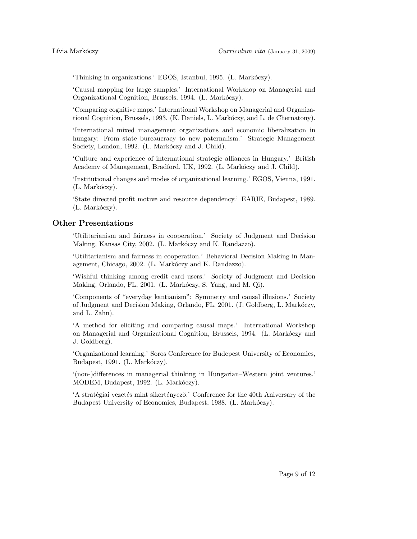'Thinking in organizations.' EGOS, Istanbul, 1995. (L. Markóczy).

'Causal mapping for large samples.' International Workshop on Managerial and Organizational Cognition, Brussels, 1994. (L. Markóczy).

'Comparing cognitive maps.' International Workshop on Managerial and Organizational Cognition, Brussels, 1993. (K. Daniels, L. Markóczy, and L. de Chernatony).

'International mixed management organizations and economic liberalization in hungary: From state bureaucracy to new paternalism.' Strategic Management Society, London, 1992. (L. Markóczy and J. Child).

'Culture and experience of international strategic alliances in Hungary.' British Academy of Management, Bradford, UK, 1992. (L. Markóczy and J. Child).

'Institutional changes and modes of organizational learning.' EGOS, Vienna, 1991.  $(L. Markóczy).$ 

'State directed profit motive and resource dependency.' EARIE, Budapest, 1989.  $(L. Markóczy).$ 

### Other Presentations

'Utilitarianism and fairness in cooperation.' Society of Judgment and Decision Making, Kansas City, 2002. (L. Markóczy and K. Randazzo).

'Utilitarianism and fairness in cooperation.' Behavioral Decision Making in Management, Chicago, 2002. (L. Markóczy and K. Randazzo).

'Wishful thinking among credit card users.' Society of Judgment and Decision Making, Orlando, FL, 2001. (L. Markóczy, S. Yang, and M. Qi).

'Components of "everyday kantianism": Symmetry and causal illusions.' Society of Judgment and Decision Making, Orlando, FL, 2001. (J. Goldberg, L. Markóczy, and L. Zahn).

'A method for eliciting and comparing causal maps.' International Workshop on Managerial and Organizational Cognition, Brussels, 1994. (L. Markóczy and J. Goldberg).

'Organizational learning.' Soros Conference for Budepest University of Economics, Budapest, 1991. (L. Markóczy).

'(non-)differences in managerial thinking in Hungarian–Western joint ventures.' MODEM, Budapest, 1992. (L. Markóczy).

'A stratégiai vezetés mint sikertényező.' Conference for the 40th Aniversary of the Budapest University of Economics, Budapest, 1988. (L. Markóczy).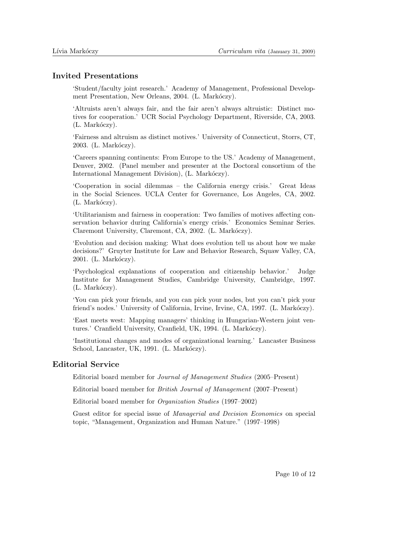#### Invited Presentations

'Student/faculty joint research.' Academy of Management, Professional Development Presentation, New Orleans, 2004. (L. Markóczy).

'Altruists aren't always fair, and the fair aren't always altruistic: Distinct motives for cooperation.' UCR Social Psychology Department, Riverside, CA, 2003.  $(L. Markóczy).$ 

'Fairness and altruism as distinct motives.' University of Connecticut, Storrs, CT, 2003. (L. Markóczy).

'Careers spanning continents: From Europe to the US.' Academy of Management, Denver, 2002. (Panel member and presenter at the Doctoral consortium of the International Management Division), (L. Markóczy).

'Cooperation in social dilemmas – the California energy crisis.' Great Ideas in the Social Sciences. UCLA Center for Governance, Los Angeles, CA, 2002. (L. Markóczy).

'Utilitarianism and fairness in cooperation: Two families of motives affecting conservation behavior during California's energy crisis.' Economics Seminar Series. Claremont University, Claremont, CA, 2002. (L. Markóczy).

'Evolution and decision making: What does evolution tell us about how we make decisions?' Gruyter Institute for Law and Behavior Research, Squaw Valley, CA, 2001. (L. Markóczy).

'Psychological explanations of cooperation and citizenship behavior.' Judge Institute for Management Studies, Cambridge University, Cambridge, 1997.  $(L. Markóczy).$ 

'You can pick your friends, and you can pick your nodes, but you can't pick your friend's nodes.' University of California, Irvine, Irvine, CA, 1997. (L. Markóczy).

'East meets west: Mapping managers' thinking in Hungarian-Western joint ventures.' Cranfield University, Cranfield, UK, 1994. (L. Markóczy).

'Institutional changes and modes of organizational learning.' Lancaster Business School, Lancaster, UK, 1991. (L. Markóczy).

# Editorial Service

Editorial board member for Journal of Management Studies (2005–Present)

Editorial board member for British Journal of Management (2007–Present)

Editorial board member for Organization Studies (1997–2002)

Guest editor for special issue of Managerial and Decision Economics on special topic, "Management, Organization and Human Nature." (1997–1998)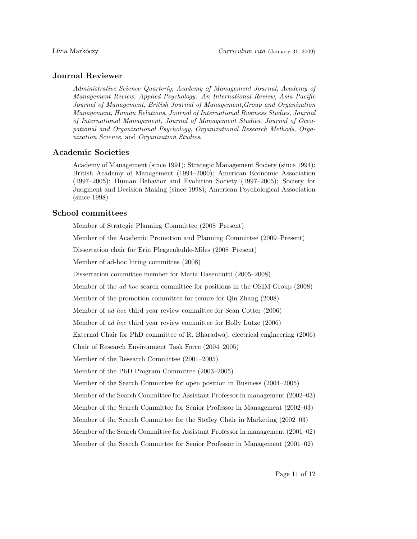### Journal Reviewer

Administrative Science Quarterly, Academy of Management Journal, Academy of Management Review, Applied Psychology: An International Review, Asia Pacific Journal of Management, British Journal of Management,Group and Organization Management, Human Relations, Journal of International Business Studies, Journal of International Management, Journal of Management Studies, Journal of Occupational and Organizational Psychology, Organizational Research Methods, Organization Science, and Organization Studies.

### Academic Societies

Academy of Management (since 1991); Strategic Management Society (since 1994); British Academy of Management (1994–2000); American Economic Association (1997–2005); Human Behavior and Evolution Society (1997–2005); Society for Judgment and Decision Making (since 1998); American Psychological Association (since 1998)

### School committees

Member of Strategic Planning Committee (2008–Present)

Member of the Academic Promotion and Planning Committee (2009–Present)

Dissertation chair for Erin Pleggenkuhle-Miles (2008–Present)

Member of ad-hoc hiring committee (2008)

Dissertation committee member for Maria Hasenhutti (2005–2008)

Member of the ad hoc search committee for positions in the OSIM Group (2008)

Member of the promotion committee for tenure for Qin Zhang (2008)

Member of ad hoc third year review committee for Sean Cotter (2006)

Member of ad hoc third year review committee for Holly Lutze (2006)

External Chair for PhD committee of R. Bharadwaj, electrical engineering (2006)

Chair of Research Environment Task Force (2004–2005)

Member of the Research Committee (2001–2005)

Member of the PhD Program Committee (2003–2005)

Member of the Search Committee for open position in Business (2004–2005)

Member of the Search Committee for Assistant Professor in management (2002–03)

Member of the Search Committee for Senior Professor in Management (2002–03)

Member of the Search Committee for the Steffey Chair in Marketing (2002–03)

Member of the Search Committee for Assistant Professor in management (2001–02)

Member of the Search Committee for Senior Professor in Management (2001–02)